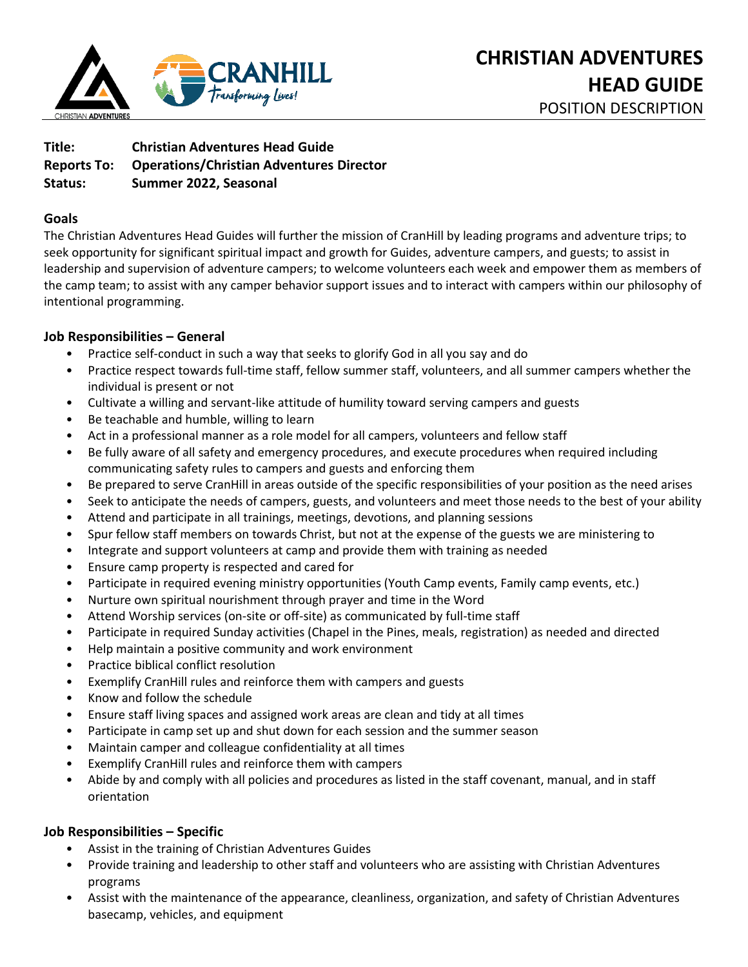

**Title: Christian Adventures Head Guide Reports To: Operations/Christian Adventures Director Status: Summer 2022, Seasonal** 

## **Goals**

The Christian Adventures Head Guides will further the mission of CranHill by leading programs and adventure trips; to seek opportunity for significant spiritual impact and growth for Guides, adventure campers, and guests; to assist in leadership and supervision of adventure campers; to welcome volunteers each week and empower them as members of the camp team; to assist with any camper behavior support issues and to interact with campers within our philosophy of intentional programming.

### **Job Responsibilities – General**

- Practice self-conduct in such a way that seeks to glorify God in all you say and do
- Practice respect towards full-time staff, fellow summer staff, volunteers, and all summer campers whether the individual is present or not
- Cultivate a willing and servant-like attitude of humility toward serving campers and guests
- Be teachable and humble, willing to learn
- Act in a professional manner as a role model for all campers, volunteers and fellow staff
- Be fully aware of all safety and emergency procedures, and execute procedures when required including communicating safety rules to campers and guests and enforcing them
- Be prepared to serve CranHill in areas outside of the specific responsibilities of your position as the need arises
- Seek to anticipate the needs of campers, guests, and volunteers and meet those needs to the best of your ability
- Attend and participate in all trainings, meetings, devotions, and planning sessions
- Spur fellow staff members on towards Christ, but not at the expense of the guests we are ministering to
- Integrate and support volunteers at camp and provide them with training as needed
- Ensure camp property is respected and cared for
- Participate in required evening ministry opportunities (Youth Camp events, Family camp events, etc.)
- Nurture own spiritual nourishment through prayer and time in the Word
- Attend Worship services (on-site or off-site) as communicated by full-time staff
- Participate in required Sunday activities (Chapel in the Pines, meals, registration) as needed and directed
- Help maintain a positive community and work environment
- Practice biblical conflict resolution
- Exemplify CranHill rules and reinforce them with campers and guests
- Know and follow the schedule
- Ensure staff living spaces and assigned work areas are clean and tidy at all times
- Participate in camp set up and shut down for each session and the summer season
- Maintain camper and colleague confidentiality at all times
- Exemplify CranHill rules and reinforce them with campers
- Abide by and comply with all policies and procedures as listed in the staff covenant, manual, and in staff orientation

# **Job Responsibilities – Specific**

- Assist in the training of Christian Adventures Guides
- Provide training and leadership to other staff and volunteers who are assisting with Christian Adventures programs
- Assist with the maintenance of the appearance, cleanliness, organization, and safety of Christian Adventures basecamp, vehicles, and equipment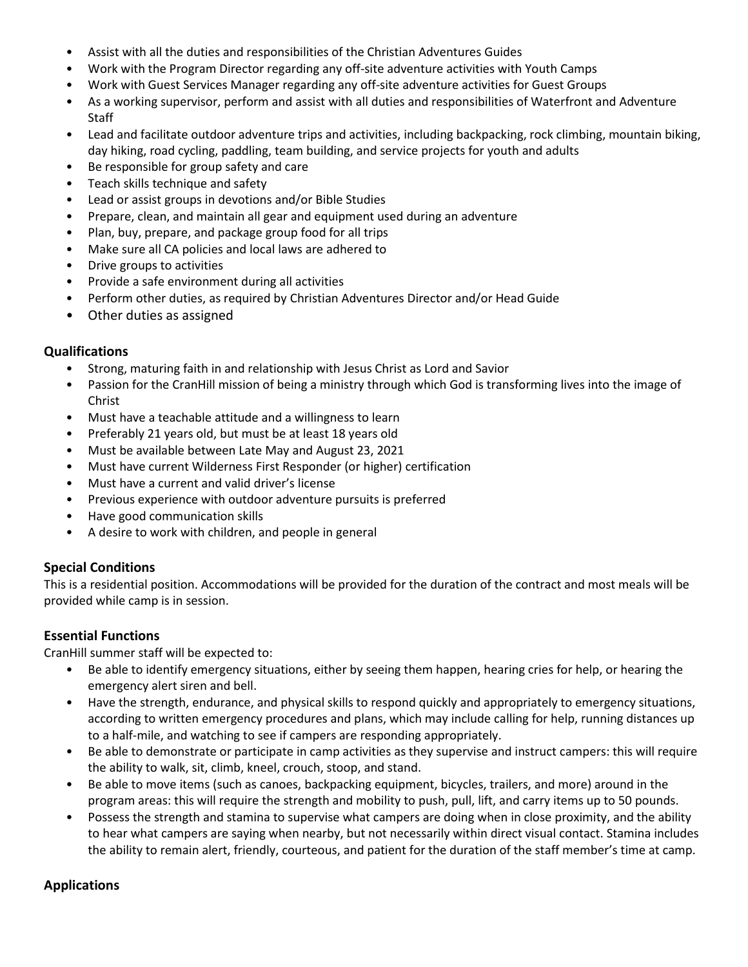- Assist with all the duties and responsibilities of the Christian Adventures Guides
- Work with the Program Director regarding any off-site adventure activities with Youth Camps
- Work with Guest Services Manager regarding any off-site adventure activities for Guest Groups
- As a working supervisor, perform and assist with all duties and responsibilities of Waterfront and Adventure **Staff**
- Lead and facilitate outdoor adventure trips and activities, including backpacking, rock climbing, mountain biking, day hiking, road cycling, paddling, team building, and service projects for youth and adults
- Be responsible for group safety and care
- Teach skills technique and safety
- Lead or assist groups in devotions and/or Bible Studies
- Prepare, clean, and maintain all gear and equipment used during an adventure
- Plan, buy, prepare, and package group food for all trips
- Make sure all CA policies and local laws are adhered to
- Drive groups to activities
- Provide a safe environment during all activities
- Perform other duties, as required by Christian Adventures Director and/or Head Guide
- Other duties as assigned

### **Qualifications**

- Strong, maturing faith in and relationship with Jesus Christ as Lord and Savior
- Passion for the CranHill mission of being a ministry through which God is transforming lives into the image of Christ
- Must have a teachable attitude and a willingness to learn
- Preferably 21 years old, but must be at least 18 years old
- Must be available between Late May and August 23, 2021
- Must have current Wilderness First Responder (or higher) certification
- Must have a current and valid driver's license
- Previous experience with outdoor adventure pursuits is preferred
- Have good communication skills
- A desire to work with children, and people in general

# **Special Conditions**

This is a residential position. Accommodations will be provided for the duration of the contract and most meals will be provided while camp is in session.

# **Essential Functions**

CranHill summer staff will be expected to:

- Be able to identify emergency situations, either by seeing them happen, hearing cries for help, or hearing the emergency alert siren and bell.
- Have the strength, endurance, and physical skills to respond quickly and appropriately to emergency situations, according to written emergency procedures and plans, which may include calling for help, running distances up to a half-mile, and watching to see if campers are responding appropriately.
- Be able to demonstrate or participate in camp activities as they supervise and instruct campers: this will require the ability to walk, sit, climb, kneel, crouch, stoop, and stand.
- Be able to move items (such as canoes, backpacking equipment, bicycles, trailers, and more) around in the program areas: this will require the strength and mobility to push, pull, lift, and carry items up to 50 pounds.
- Possess the strength and stamina to supervise what campers are doing when in close proximity, and the ability to hear what campers are saying when nearby, but not necessarily within direct visual contact. Stamina includes the ability to remain alert, friendly, courteous, and patient for the duration of the staff member's time at camp.

# **Applications**